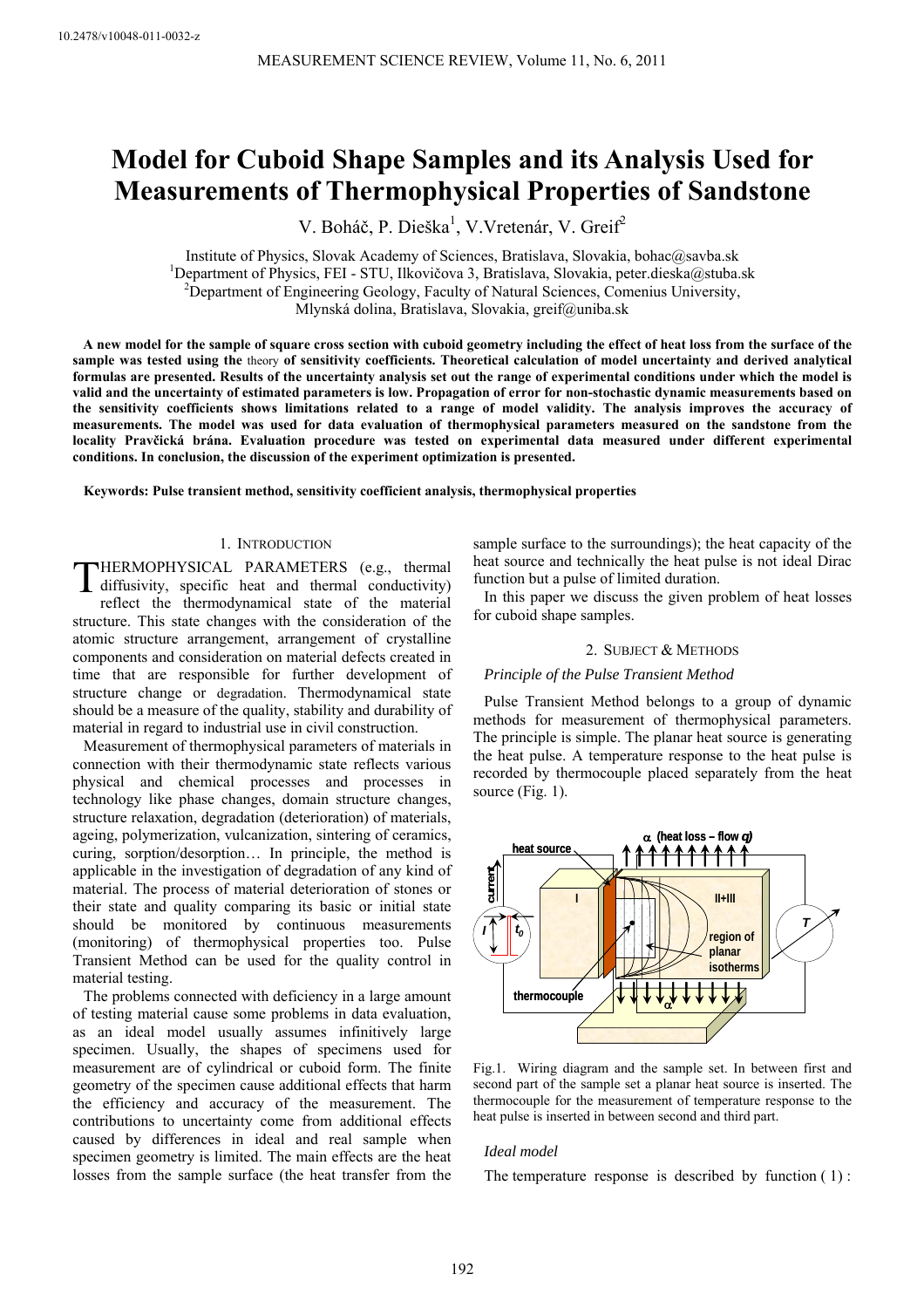# **Model for Cuboid Shape Samples and its Analysis Used for Measurements of Thermophysical Properties of Sandstone**

V. Boháč, P. Dieška<sup>1</sup>, V. Vretenár, V. Greif<sup>2</sup>

Institute of Physics, Slovak Academy of Sciences, Bratislava, Slovakia, bohac@savba.sk 1 <sup>1</sup>Department of Physics, FEI - STU, Ilkovičova 3, Bratislava, Slovakia, peter.dieska@stuba.sk Department of Engineering Geology, Faculty of Natural Sciences, Comenius University, Mlynská dolina, Bratislava, Slovakia, greif@uniba.sk

 **A new model for the sample of square cross section with cuboid geometry including the effect of heat loss from the surface of the sample was tested using the** theory **of sensitivity coefficients. Theoretical calculation of model uncertainty and derived analytical formulas are presented. Results of the uncertainty analysis set out the range of experimental conditions under which the model is valid and the uncertainty of estimated parameters is low. Propagation of error for non-stochastic dynamic measurements based on the sensitivity coefficients shows limitations related to a range of model validity. The analysis improves the accuracy of measurements. The model was used for data evaluation of thermophysical parameters measured on the sandstone from the locality Pravčická brána. Evaluation procedure was tested on experimental data measured under different experimental conditions. In conclusion, the discussion of the experiment optimization is presented.** 

**Keywords: Pulse transient method, sensitivity coefficient analysis, thermophysical properties** 

# 1. INTRODUCTION

THERMOPHYSICAL PARAMETERS (e.g., thermal diffusivity, specific heat and thermal conductivity) diffusivity, specific heat and thermal conductivity) reflect the thermodynamical state of the material structure. This state changes with the consideration of the atomic structure arrangement, arrangement of crystalline components and consideration on material defects created in time that are responsible for further development of structure change or degradation. Thermodynamical state should be a measure of the quality, stability and durability of material in regard to industrial use in civil construction.

Measurement of thermophysical parameters of materials in connection with their thermodynamic state reflects various physical and chemical processes and processes in technology like phase changes, domain structure changes, structure relaxation, degradation (deterioration) of materials, ageing, polymerization, vulcanization, sintering of ceramics, curing, sorption/desorption… In principle, the method is applicable in the investigation of degradation of any kind of material. The process of material deterioration of stones or their state and quality comparing its basic or initial state should be monitored by continuous measurements (monitoring) of thermophysical properties too. Pulse Transient Method can be used for the quality control in material testing.

The problems connected with deficiency in a large amount of testing material cause some problems in data evaluation, as an ideal model usually assumes infinitively large specimen. Usually, the shapes of specimens used for measurement are of cylindrical or cuboid form. The finite geometry of the specimen cause additional effects that harm the efficiency and accuracy of the measurement. The contributions to uncertainty come from additional effects caused by differences in ideal and real sample when specimen geometry is limited. The main effects are the heat losses from the sample surface (the heat transfer from the sample surface to the surroundings); the heat capacity of the heat source and technically the heat pulse is not ideal Dirac function but a pulse of limited duration.

In this paper we discuss the given problem of heat losses for cuboid shape samples.

## 2. SUBJECT & METHODS

#### *Principle of the Pulse Transient Method*

Pulse Transient Method belongs to a group of dynamic methods for measurement of thermophysical parameters. The principle is simple. The planar heat source is generating the heat pulse. A temperature response to the heat pulse is recorded by thermocouple placed separately from the heat source (Fig. 1).



Fig.1. Wiring diagram and the sample set. In between first and second part of the sample set a planar heat source is inserted. The thermocouple for the measurement of temperature response to the heat pulse is inserted in between second and third part.

## *Ideal model*

The temperature response is described by function ( 1) :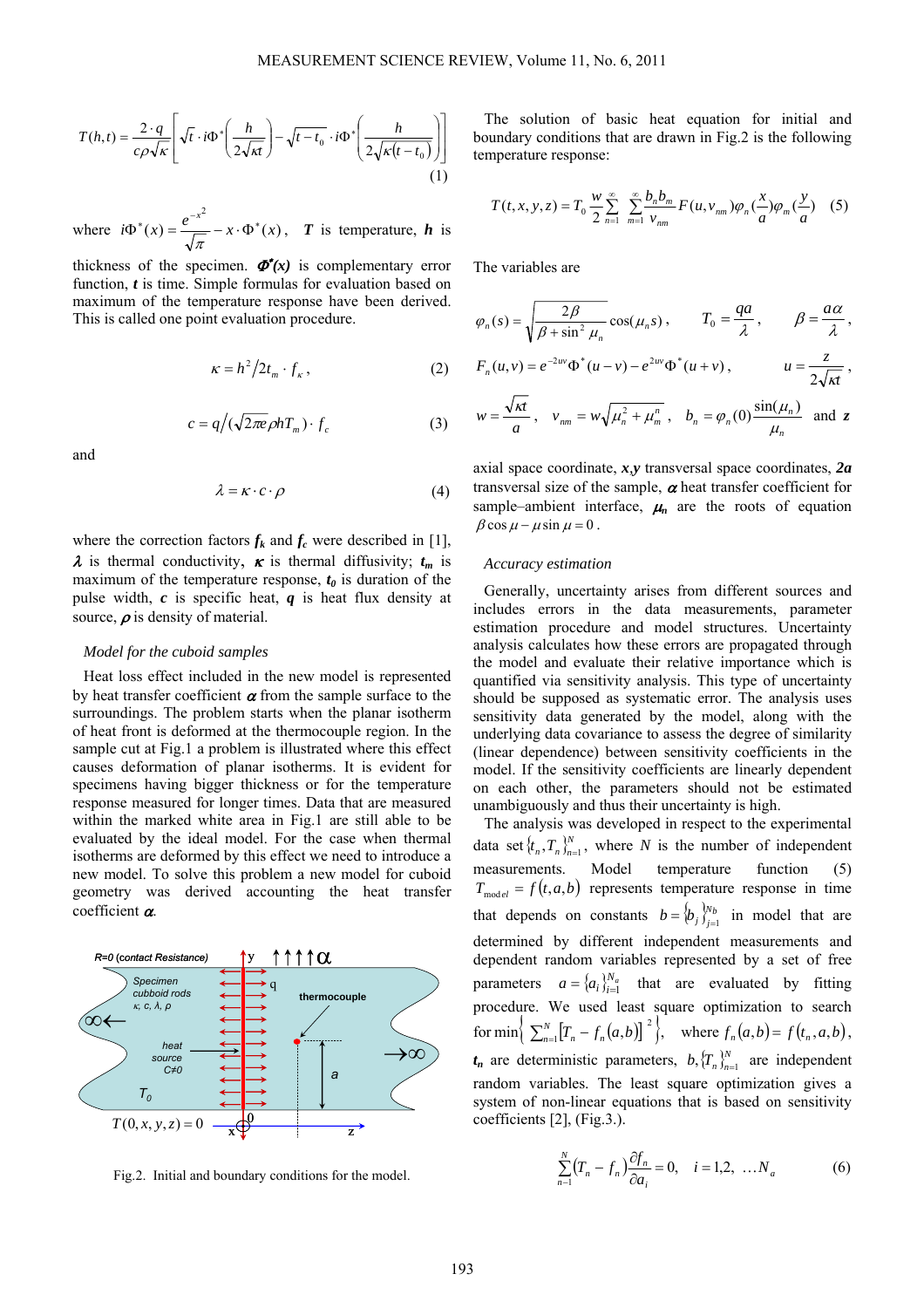$$
T(h,t) = \frac{2 \cdot q}{c\rho\sqrt{\kappa}} \left[ \sqrt{t} \cdot i\Phi^* \left( \frac{h}{2\sqrt{\kappa t}} \right) - \sqrt{t - t_0} \cdot i\Phi^* \left( \frac{h}{2\sqrt{\kappa(t - t_0)}} \right) \right]
$$
(1)

where  $i\Phi^*(x) = \frac{c}{x} - x \cdot \Phi^*(x)$ 2  $i\Phi^*(x) = \frac{e^{-x^2}}{\sqrt{\pi}} - x \cdot \Phi^*(x)$ , *T* is temperature, *h* is

thickness of the specimen.  $\Phi^*(x)$  is complementary error function, *t* is time. Simple formulas for evaluation based on maximum of the temperature response have been derived. This is called one point evaluation procedure.

$$
\kappa = h^2 / 2t_m \cdot f_\kappa, \tag{2}
$$

$$
c = q/(\sqrt{2\pi e} \rho h T_m) \cdot f_c \tag{3}
$$

and

$$
\lambda = \kappa \cdot c \cdot \rho \tag{4}
$$

where the correction factors  $f_k$  and  $f_c$  were described in [1],  $\lambda$  is thermal conductivity,  $\kappa$  is thermal diffusivity;  $t_m$  is maximum of the temperature response,  $t_0$  is duration of the pulse width, *c* is specific heat, *q* is heat flux density at source,  $\rho$  is density of material.

## *Model for the cuboid samples*

Heat loss effect included in the new model is represented by heat transfer coefficient  $\alpha$  from the sample surface to the surroundings. The problem starts when the planar isotherm of heat front is deformed at the thermocouple region. In the sample cut at Fig.1 a problem is illustrated where this effect causes deformation of planar isotherms. It is evident for specimens having bigger thickness or for the temperature response measured for longer times. Data that are measured within the marked white area in Fig.1 are still able to be evaluated by the ideal model. For the case when thermal isotherms are deformed by this effect we need to introduce a new model. To solve this problem a new model for cuboid geometry was derived accounting the heat transfer coefficient α.



Fig.2. Initial and boundary conditions for the model.

The solution of basic heat equation for initial and boundary conditions that are drawn in Fig.2 is the following temperature response:

$$
T(t, x, y, z) = T_0 \frac{w}{2} \sum_{n=1}^{\infty} \sum_{m=1}^{\infty} \frac{b_n b_m}{v_{nm}} F(u, v_{nm}) \varphi_n(\frac{x}{a}) \varphi_m(\frac{y}{a}) \quad (5)
$$

The variables are

$$
\varphi_n(s) = \sqrt{\frac{2\beta}{\beta + \sin^2 \mu_n}} \cos(\mu_n s), \qquad T_0 = \frac{qa}{\lambda}, \qquad \beta = \frac{a\alpha}{\lambda},
$$
  

$$
F_n(u, v) = e^{-2uv} \Phi^*(u - v) - e^{2uv} \Phi^*(u + v), \qquad u = \frac{z}{2\sqrt{\kappa t}},
$$
  

$$
w = \frac{\sqrt{\kappa t}}{a}, \quad v_{nm} = w\sqrt{\mu_n^2 + \mu_m^2}, \quad b_n = \varphi_n(0) \frac{\sin(\mu_n)}{\mu_n} \text{ and } z
$$

axial space coordinate, *x,y* transversal space coordinates, *2a* transversal size of the sample,  $\alpha$  heat transfer coefficient for sample–ambient interface,  $\mu_n$  are the roots of equation  $\beta$  cos  $\mu - \mu$  sin  $\mu = 0$ .

#### *Accuracy estimation*

Generally, uncertainty arises from different sources and includes errors in the data measurements, parameter estimation procedure and model structures. Uncertainty analysis calculates how these errors are propagated through the model and evaluate their relative importance which is quantified via sensitivity analysis. This type of uncertainty should be supposed as systematic error. The analysis uses sensitivity data generated by the model, along with the underlying data covariance to assess the degree of similarity (linear dependence) between sensitivity coefficients in the model. If the sensitivity coefficients are linearly dependent on each other, the parameters should not be estimated unambiguously and thus their uncertainty is high.

The analysis was developed in respect to the experimental data set  ${f_{n, T_{n}}}^{N}_{n=1}$ , where *N* is the number of independent measurements. Model temperature function (5)  $T_{\text{model}} = f(t, a, b)$  represents temperature response in time that depends on constants  $b = \{b_i\}_{i=1}^{N_b}$  in model that are determined by different independent measurements and dependent random variables represented by a set of free parameters  $a = \{a_i\}_{i=1}^{N_a}$  that are evaluated by fitting procedure. We used least square optimization to search for min $\sum_{n=1}^{N} [T_n - f_n(a,b)]^2$ , where  $f_n(a,b) = f(t_n, a,b)$ ,  $t_n$  are deterministic parameters,  $b, \{T_n\}_{n=1}^N$  are independent random variables. The least square optimization gives a system of non-linear equations that is based on sensitivity coefficients [2], (Fig.3.).

$$
\sum_{n=1}^{N} (T_n - f_n) \frac{\partial f_n}{\partial a_i} = 0, \quad i = 1, 2, \dots N_a \tag{6}
$$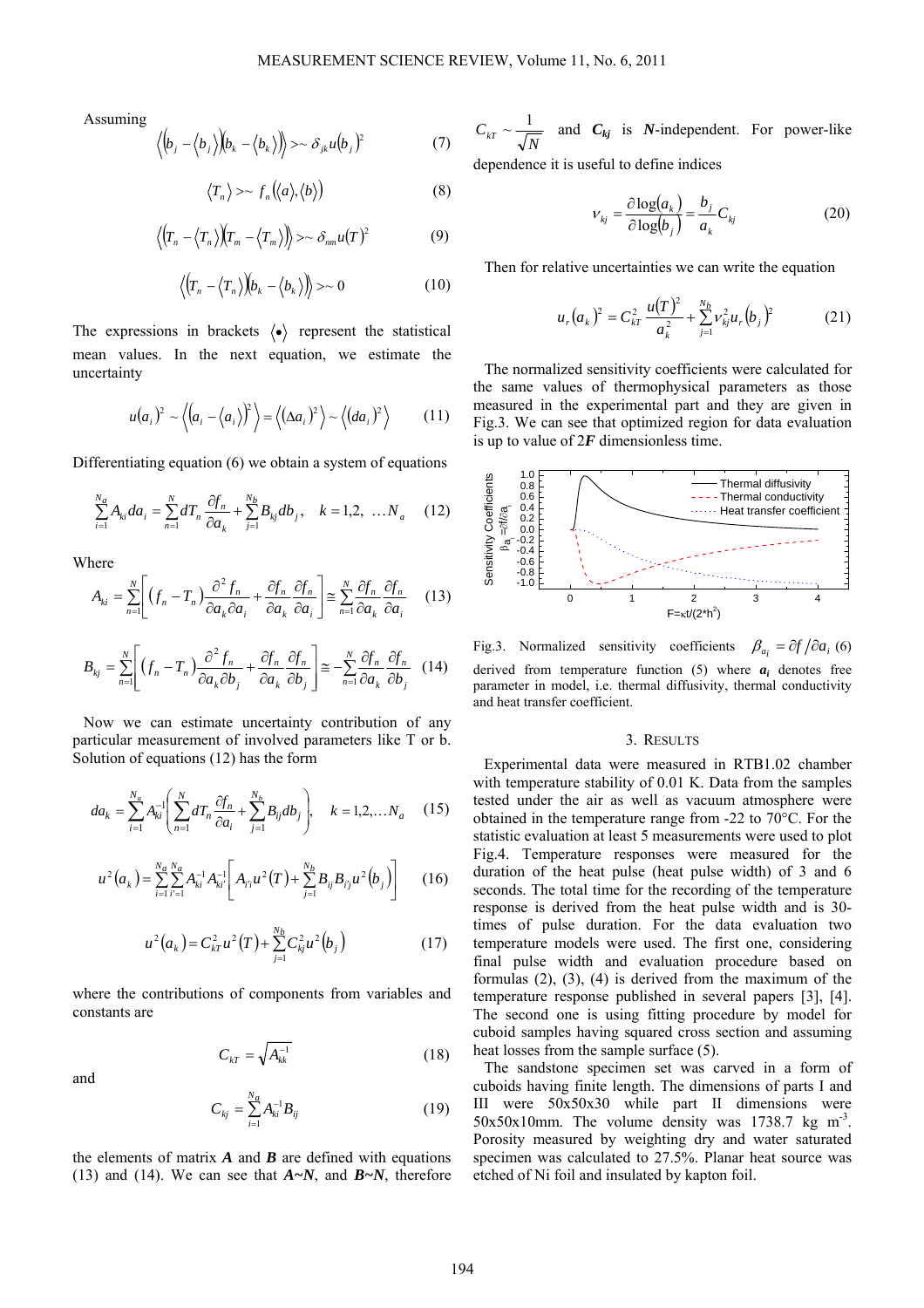Assuming

$$
\langle (b_j - \langle b_j \rangle)(b_k - \langle b_k \rangle) \rangle > \sim \delta_{jk} u(b_j)^2 \tag{7}
$$

$$
\langle T_n \rangle \gg f_n(\langle a \rangle, \langle b \rangle) \tag{8}
$$

$$
\langle (T_n - \langle T_n \rangle)(T_m - \langle T_m \rangle)) \rangle \sim \delta_{nm} u(T)^2 \tag{9}
$$

$$
\langle \left(T_n - \langle T_n \rangle\right) b_k - \langle b_k \rangle \rangle > \sim 0 \tag{10}
$$

The expressions in brackets  $\langle \bullet \rangle$  represent the statistical mean values. In the next equation, we estimate the uncertainty

$$
u(a_i)^2 \sim \left\langle \left(a_i - \left\langle a_i \right\rangle\right)^2 \right\rangle = \left\langle \left(\Delta a_i\right)^2 \right\rangle \sim \left\langle \left(da_i\right)^2 \right\rangle \tag{11}
$$

Differentiating equation (6) we obtain a system of equations

$$
\sum_{i=1}^{N_a} A_{ki} da_i = \sum_{n=1}^{N} dT_n \frac{\partial f_n}{\partial a_k} + \sum_{j=1}^{N_b} B_{kj} db_j, \quad k = 1, 2, \dots, N_a \quad (12)
$$

Where

$$
A_{ki} = \sum_{n=1}^{N} \left[ \left( f_n - T_n \right) \frac{\partial^2 f_n}{\partial a_k \partial a_i} + \frac{\partial f_n}{\partial a_k} \frac{\partial f_n}{\partial a_i} \right] \cong \sum_{n=1}^{N} \frac{\partial f_n}{\partial a_k} \frac{\partial f_n}{\partial a_i} \quad (13)
$$

$$
B_{kj} = \sum_{n=1}^{N} \left[ \left( f_n - T_n \right) \frac{\partial^2 f_n}{\partial a_k \partial b_j} + \frac{\partial f_n}{\partial a_k} \frac{\partial f_n}{\partial b_j} \right] \cong - \sum_{n=1}^{N} \frac{\partial f_n}{\partial a_k} \frac{\partial f_n}{\partial b_j} \quad (14)
$$

Now we can estimate uncertainty contribution of any particular measurement of involved parameters like T or b. Solution of equations (12) has the form

$$
da_k = \sum_{i=1}^{N_a} A_{ki}^{-1} \left( \sum_{n=1}^{N} dT_n \frac{\partial f_n}{\partial a_i} + \sum_{j=1}^{N_b} B_{ij} db_j \right), \quad k = 1, 2, \dots N_a \quad (15)
$$

$$
u^{2}(a_{k}) = \sum_{i=1}^{N_{a}} \sum_{i'=1}^{N_{a}} A_{ki}^{-1} A_{ki'}^{-1} \left[ A_{i'i} u^{2}(T) + \sum_{j=1}^{N_{b}} B_{ij} B_{ij} u^{2}(b_{j}) \right]
$$
(16)

$$
u^{2}(a_{k}) = C_{kT}^{2}u^{2}(T) + \sum_{j=1}^{N_{b}} C_{kj}^{2}u^{2}(b_{j})
$$
 (17)

where the contributions of components from variables and constants are

$$
C_{kT} = \sqrt{A_{kk}^{-1}} \tag{18}
$$

and

$$
C_{kj} = \sum_{i=1}^{N_a} A_{ki}^{-1} B_{ij}
$$
 (19)

the elements of matrix  $\boldsymbol{A}$  and  $\boldsymbol{B}$  are defined with equations (13) and (14). We can see that  $A \sim N$ , and  $B \sim N$ , therefore

 $C_{kT} \sim \frac{1}{\sqrt{N}}$  and  $C_{kj}$  is *N*-independent. For power-like dependence it is useful to define indices

$$
V_{kj} = \frac{\partial \log(a_k)}{\partial \log(b_j)} = \frac{b_j}{a_k} C_{kj}
$$
 (20)

Then for relative uncertainties we can write the equation

$$
u_r(a_k)^2 = C_{kr}^2 \frac{u(T)^2}{a_k^2} + \sum_{j=1}^{N_b} v_{kj}^2 u_r(b_j)^2 \tag{21}
$$

The normalized sensitivity coefficients were calculated for the same values of thermophysical parameters as those measured in the experimental part and they are given in Fig.3. We can see that optimized region for data evaluation is up to value of 2*F* dimensionless time.



Fig.3. Normalized sensitivity coefficients  $\beta_{a_i} = \partial f / \partial a_i$  (6) derived from temperature function  $(5)$  where  $a_i$  denotes free parameter in model, i.e. thermal diffusivity, thermal conductivity and heat transfer coefficient.

# 3. RESULTS

Experimental data were measured in RTB1.02 chamber with temperature stability of 0.01 K. Data from the samples tested under the air as well as vacuum atmosphere were obtained in the temperature range from -22 to 70°C. For the statistic evaluation at least 5 measurements were used to plot Fig.4. Temperature responses were measured for the duration of the heat pulse (heat pulse width) of 3 and 6 seconds. The total time for the recording of the temperature response is derived from the heat pulse width and is 30 times of pulse duration. For the data evaluation two temperature models were used. The first one, considering final pulse width and evaluation procedure based on formulas (2), (3), (4) is derived from the maximum of the temperature response published in several papers [3], [4]. The second one is using fitting procedure by model for cuboid samples having squared cross section and assuming heat losses from the sample surface (5).

The sandstone specimen set was carved in a form of cuboids having finite length. The dimensions of parts I and III were 50x50x30 while part II dimensions were  $50x50x10$ mm. The volume density was 1738.7 kg m<sup>-3</sup>. Porosity measured by weighting dry and water saturated specimen was calculated to 27.5%. Planar heat source was etched of Ni foil and insulated by kapton foil.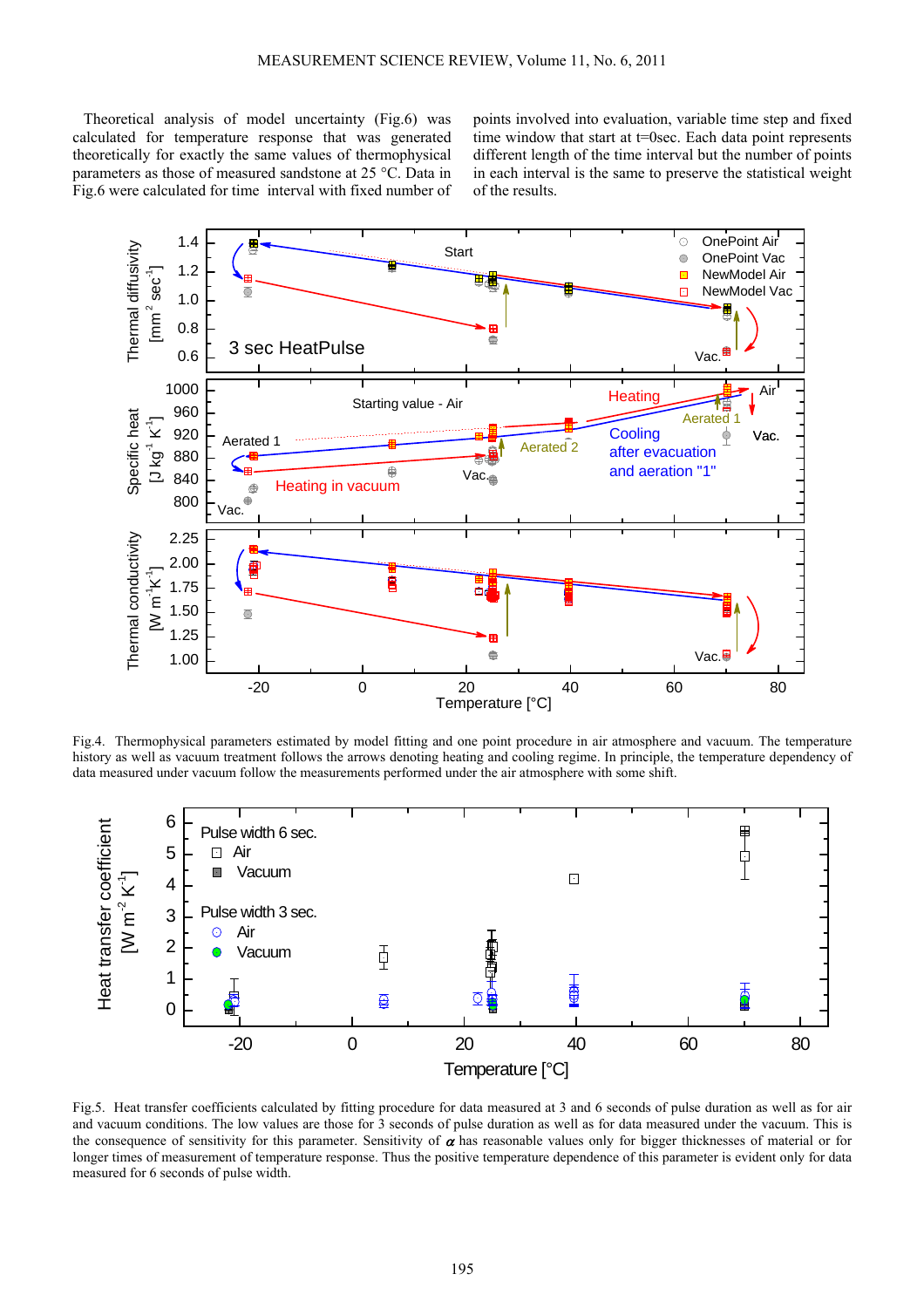Theoretical analysis of model uncertainty (Fig.6) was calculated for temperature response that was generated theoretically for exactly the same values of thermophysical parameters as those of measured sandstone at 25 °C. Data in Fig.6 were calculated for time interval with fixed number of points involved into evaluation, variable time step and fixed time window that start at t=0sec. Each data point represents different length of the time interval but the number of points in each interval is the same to preserve the statistical weight of the results.



Fig.4. Thermophysical parameters estimated by model fitting and one point procedure in air atmosphere and vacuum. The temperature history as well as vacuum treatment follows the arrows denoting heating and cooling regime. In principle, the temperature dependency of data measured under vacuum follow the measurements performed under the air atmosphere with some shift.



Fig.5. Heat transfer coefficients calculated by fitting procedure for data measured at 3 and 6 seconds of pulse duration as well as for air and vacuum conditions. The low values are those for 3 seconds of pulse duration as well as for data measured under the vacuum. This is the consequence of sensitivity for this parameter. Sensitivity of  $\alpha$  has reasonable values only for bigger thicknesses of material or for longer times of measurement of temperature response. Thus the positive temperature dependence of this parameter is evident only for data measured for 6 seconds of pulse width.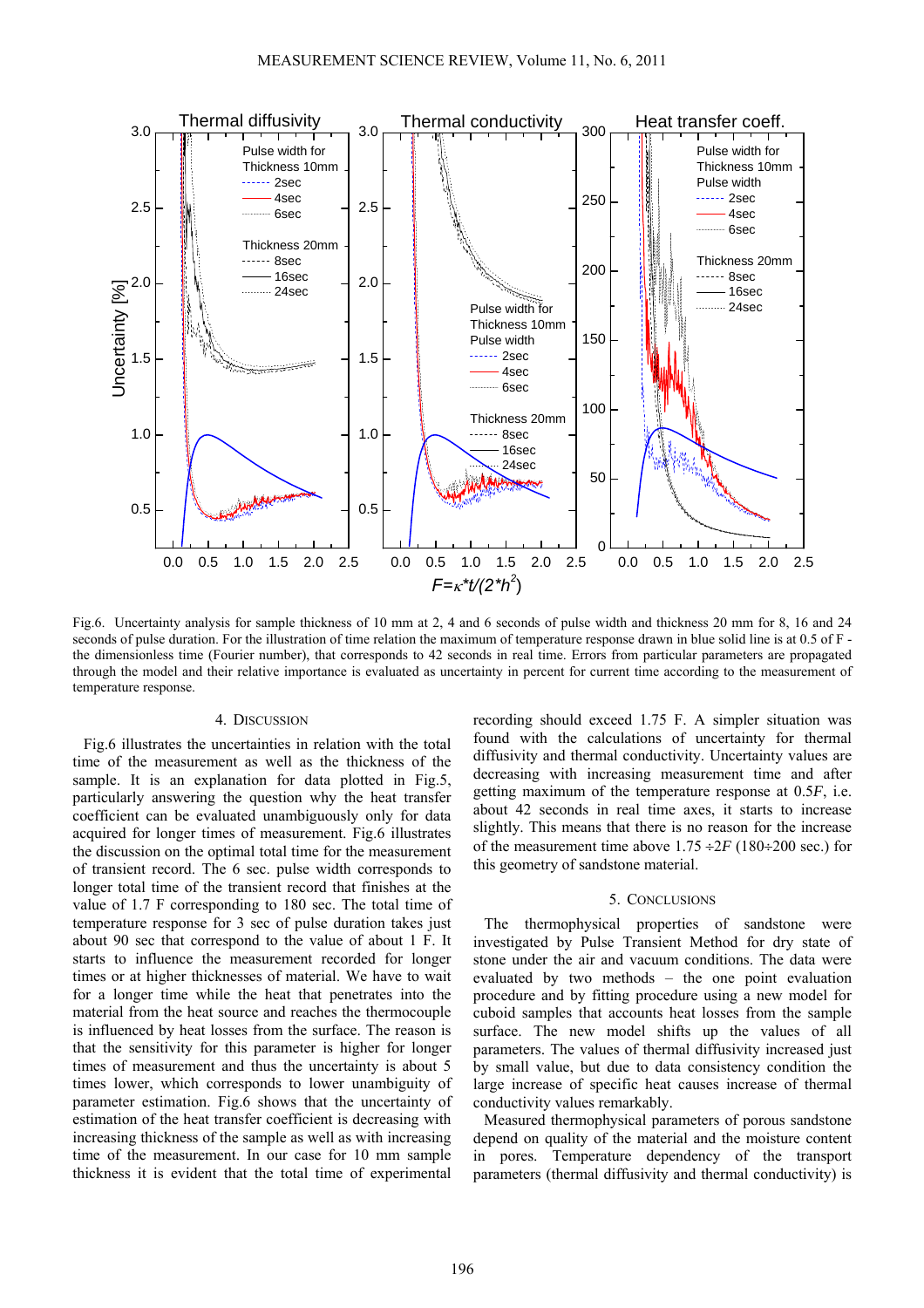

Fig.6. Uncertainty analysis for sample thickness of 10 mm at 2, 4 and 6 seconds of pulse width and thickness 20 mm for 8, 16 and 24 seconds of pulse duration. For the illustration of time relation the maximum of temperature response drawn in blue solid line is at 0.5 of F the dimensionless time (Fourier number), that corresponds to 42 seconds in real time. Errors from particular parameters are propagated through the model and their relative importance is evaluated as uncertainty in percent for current time according to the measurement of temperature response.

# 4. DISCUSSION

Fig.6 illustrates the uncertainties in relation with the total time of the measurement as well as the thickness of the sample. It is an explanation for data plotted in Fig.5, particularly answering the question why the heat transfer coefficient can be evaluated unambiguously only for data acquired for longer times of measurement. Fig.6 illustrates the discussion on the optimal total time for the measurement of transient record. The 6 sec. pulse width corresponds to longer total time of the transient record that finishes at the value of 1.7 F corresponding to 180 sec. The total time of temperature response for 3 sec of pulse duration takes just about 90 sec that correspond to the value of about 1 F. It starts to influence the measurement recorded for longer times or at higher thicknesses of material. We have to wait for a longer time while the heat that penetrates into the material from the heat source and reaches the thermocouple is influenced by heat losses from the surface. The reason is that the sensitivity for this parameter is higher for longer times of measurement and thus the uncertainty is about 5 times lower, which corresponds to lower unambiguity of parameter estimation. Fig.6 shows that the uncertainty of estimation of the heat transfer coefficient is decreasing with increasing thickness of the sample as well as with increasing time of the measurement. In our case for 10 mm sample thickness it is evident that the total time of experimental

recording should exceed 1.75 F. A simpler situation was found with the calculations of uncertainty for thermal diffusivity and thermal conductivity. Uncertainty values are decreasing with increasing measurement time and after getting maximum of the temperature response at 0.5*F*, i.e. about 42 seconds in real time axes, it starts to increase slightly. This means that there is no reason for the increase of the measurement time above  $1.75 \div 2F$  (180 $\div 200$  sec.) for this geometry of sandstone material.

# 5. CONCLUSIONS

The thermophysical properties of sandstone were investigated by Pulse Transient Method for dry state of stone under the air and vacuum conditions. The data were evaluated by two methods – the one point evaluation procedure and by fitting procedure using a new model for cuboid samples that accounts heat losses from the sample surface. The new model shifts up the values of all parameters. The values of thermal diffusivity increased just by small value, but due to data consistency condition the large increase of specific heat causes increase of thermal conductivity values remarkably.

Measured thermophysical parameters of porous sandstone depend on quality of the material and the moisture content in pores. Temperature dependency of the transport parameters (thermal diffusivity and thermal conductivity) is